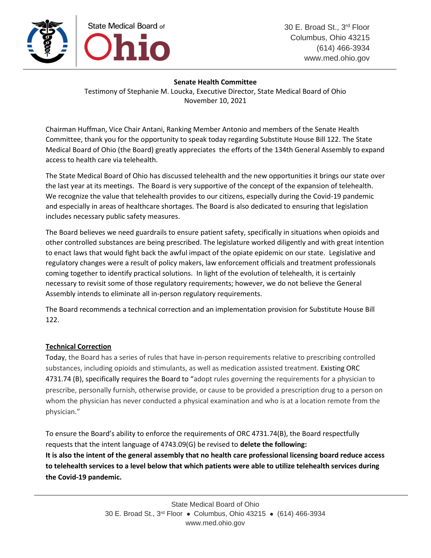

## **Senate Health Committee**

Testimony of Stephanie M. Loucka, Executive Director, State Medical Board of Ohio November 10, 2021

Chairman Huffman, Vice Chair Antani, Ranking Member Antonio and members of the Senate Health Committee, thank you for the opportunity to speak today regarding Substitute House Bill 122. The State Medical Board of Ohio (the Board) greatly appreciates the efforts of the 134th General Assembly to expand access to health care via telehealth.

The State Medical Board of Ohio has discussed telehealth and the new opportunities it brings our state over the last year at its meetings. The Board is very supportive of the concept of the expansion of telehealth. We recognize the value that telehealth provides to our citizens, especially during the Covid-19 pandemic and especially in areas of healthcare shortages. The Board is also dedicated to ensuring that legislation includes necessary public safety measures.

The Board believes we need guardrails to ensure patient safety, specifically in situations when opioids and other controlled substances are being prescribed. The legislature worked diligently and with great intention to enact laws that would fight back the awful impact of the opiate epidemic on our state. Legislative and regulatory changes were a result of policy makers, law enforcement officials and treatment professionals coming together to identify practical solutions. In light of the evolution of telehealth, it is certainly necessary to revisit some of those regulatory requirements; however, we do not believe the General Assembly intends to eliminate all in-person regulatory requirements.

The Board recommends a technical correction and an implementation provision for Substitute House Bill 122.

# **Technical Correction**

Today, the Board has a series of rules that have in-person requirements relative to prescribing controlled substances, including opioids and stimulants, as well as medication assisted treatment. Existing ORC 4731.74 (B), specifically requires the Board to "adopt rules governing the requirements for a physician to prescribe, personally furnish, otherwise provide, or cause to be provided a prescription drug to a person on whom the physician has never conducted a physical examination and who is at a location remote from the physician."

To ensure the Board's ability to enforce the requirements of ORC 4731.74(B), the Board respectfully requests that the intent language of 4743.09(G) be revised to **delete the following: It is also the intent of the general assembly that no health care professional licensing board reduce access to telehealth services to a level below that which patients were able to utilize telehealth services during the Covid-19 pandemic.**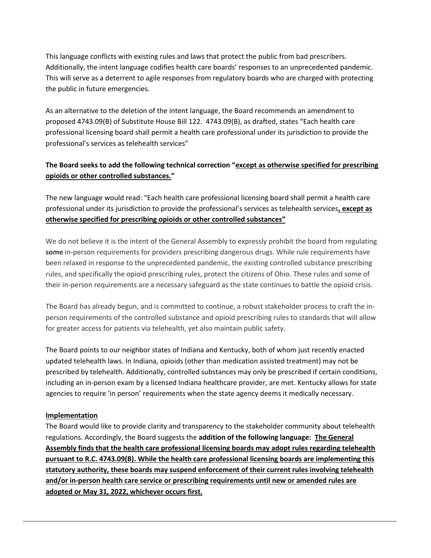This language conflicts with existing rules and laws that protect the public from bad prescribers. Additionally, the intent language codifies health care boards' responses to an unprecedented pandemic. This will serve as a deterrent to agile responses from regulatory boards who are charged with protecting the public in future emergencies.

As an alternative to the deletion of the intent language, the Board recommends an amendment to proposed 4743.09(B) of Substitute House Bill 122. 4743.09(B), as drafted, states "Each health care professional licensing board shall permit a health care professional under its jurisdiction to provide the professional's services as telehealth services"

# **The Board seeks to add the following technical correction "except as otherwise specified for prescribing opioids or other controlled substances."**

The new language would read: "Each health care professional licensing board shall permit a health care professional under its jurisdiction to provide the professional's services as telehealth services**, except as otherwise specified for prescribing opioids or other controlled substances"**

We do not believe it is the intent of the General Assembly to expressly prohibit the board from regulating **some** in-person requirements for providers prescribing dangerous drugs. While rule requirements have been relaxed in response to the unprecedented pandemic, the existing controlled substance prescribing rules, and specifically the opioid prescribing rules, protect the citizens of Ohio. These rules and some of their in-person requirements are a necessary safeguard as the state continues to battle the opioid crisis.

The Board has already begun, and is committed to continue, a robust stakeholder process to craft the inperson requirements of the controlled substance and opioid prescribing rules to standards that will allow for greater access for patients via telehealth, yet also maintain public safety.

The Board points to our neighbor states of Indiana and Kentucky, both of whom just recently enacted updated telehealth laws. In Indiana, opioids (other than medication assisted treatment) may not be prescribed by telehealth. Additionally, controlled substances may only be prescribed if certain conditions, including an in-person exam by a licensed Indiana healthcare provider, are met. Kentucky allows for state agencies to require 'in person' requirements when the state agency deems it medically necessary.

#### **Implementation**

The Board would like to provide clarity and transparency to the stakeholder community about telehealth regulations. Accordingly, the Board suggests the **addition of the following language: The General Assembly finds that the health care professional licensing boards may adopt rules regarding telehealth pursuant to R.C. 4743.09(B). While the health care professional licensing boards are implementing this statutory authority, these boards may suspend enforcement of their current rules involving telehealth and/or in-person health care service or prescribing requirements until new or amended rules are adopted or May 31, 2022, whichever occurs first.**